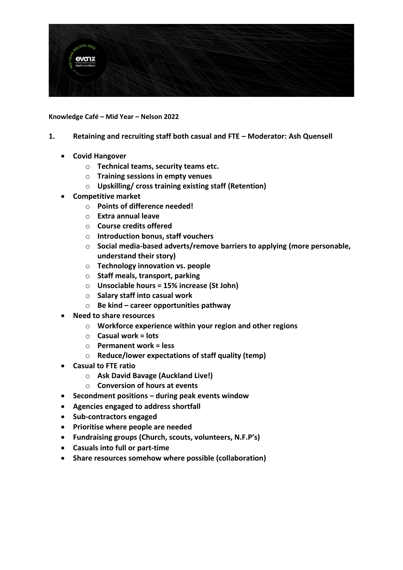

**Knowledge Café – Mid Year – Nelson 2022**

- **1. Retaining and recruiting staff both casual and FTE – Moderator: Ash Quensell**
	- **Covid Hangover**
		- o **Technical teams, security teams etc.**
		- o **Training sessions in empty venues**
		- o **Upskilling/ cross training existing staff (Retention)**
	- **Competitive market**
		- o **Points of difference needed!**
		- o **Extra annual leave**
		- o **Course credits offered**
		- o **Introduction bonus, staff vouchers**
		- o **Social media-based adverts/remove barriers to applying (more personable, understand their story)**
		- o **Technology innovation vs. people**
		- o **Staff meals, transport, parking**
		- o **Unsociable hours = 15% increase (St John)**
		- o **Salary staff into casual work**
		- o **Be kind – career opportunities pathway**
	- **Need to share resources**
		- o **Workforce experience within your region and other regions**
		- o **Casual work = lots**
		- o **Permanent work = less**
		- o **Reduce/lower expectations of staff quality (temp)**
	- **Casual to FTE ratio** 
		- o **Ask David Bavage (Auckland Live!)**
		- o **Conversion of hours at events**
	- **Secondment positions – during peak events window**
	- **Agencies engaged to address shortfall**
	- **Sub-contractors engaged**
	- **Prioritise where people are needed**
	- **Fundraising groups (Church, scouts, volunteers, N.F.P's)**
	- **Casuals into full or part-time**
	- **Share resources somehow where possible (collaboration)**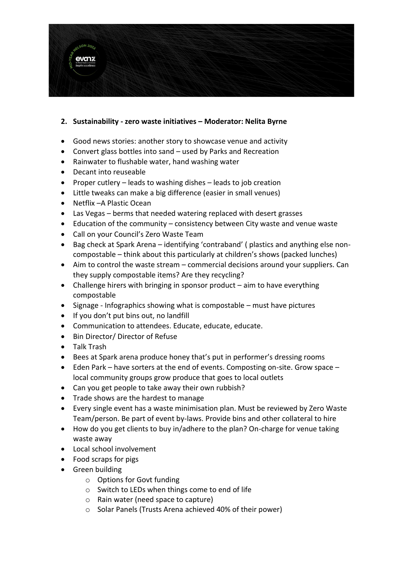

## **2. Sustainability - zero waste initiatives – Moderator: Nelita Byrne**

- Good news stories: another story to showcase venue and activity
- Convert glass bottles into sand used by Parks and Recreation
- Rainwater to flushable water, hand washing water
- Decant into reuseable
- Proper cutlery leads to washing dishes leads to job creation
- Little tweaks can make a big difference (easier in small venues)
- Netflix –A Plastic Ocean
- Las Vegas berms that needed watering replaced with desert grasses
- Education of the community consistency between City waste and venue waste
- Call on your Council's Zero Waste Team
- Bag check at Spark Arena identifying 'contraband' ( plastics and anything else noncompostable – think about this particularly at children's shows (packed lunches)
- Aim to control the waste stream commercial decisions around your suppliers. Can they supply compostable items? Are they recycling?
- Challenge hirers with bringing in sponsor product aim to have everything compostable
- Signage Infographics showing what is compostable must have pictures
- If you don't put bins out, no landfill
- Communication to attendees. Educate, educate, educate.
- Bin Director/ Director of Refuse
- Talk Trash
- Bees at Spark arena produce honey that's put in performer's dressing rooms
- Eden Park have sorters at the end of events. Composting on-site. Grow space local community groups grow produce that goes to local outlets
- Can you get people to take away their own rubbish?
- Trade shows are the hardest to manage
- Every single event has a waste minimisation plan. Must be reviewed by Zero Waste Team/person. Be part of event by-laws. Provide bins and other collateral to hire
- How do you get clients to buy in/adhere to the plan? On-charge for venue taking waste away
- Local school involvement
- Food scraps for pigs
- Green building
	- o Options for Govt funding
	- o Switch to LEDs when things come to end of life
	- o Rain water (need space to capture)
	- o Solar Panels (Trusts Arena achieved 40% of their power)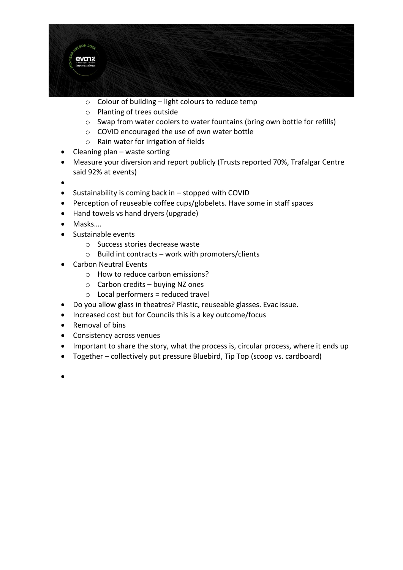

- $\circ$  Colour of building light colours to reduce temp
- o Planting of trees outside
- o Swap from water coolers to water fountains (bring own bottle for refills)
- o COVID encouraged the use of own water bottle
- o Rain water for irrigation of fields
- $\bullet$  Cleaning plan waste sorting
- Measure your diversion and report publicly (Trusts reported 70%, Trafalgar Centre said 92% at events)
- $\bullet$
- Sustainability is coming back in stopped with COVID
- Perception of reuseable coffee cups/globelets. Have some in staff spaces
- Hand towels vs hand dryers (upgrade)
- Masks….
- Sustainable events
	- o Success stories decrease waste
	- $\circ$  Build int contracts work with promoters/clients
- Carbon Neutral Events
	- o How to reduce carbon emissions?
	- $\circ$  Carbon credits buying NZ ones
	- $\circ$  Local performers = reduced travel
- Do you allow glass in theatres? Plastic, reuseable glasses. Evac issue.
- Increased cost but for Councils this is a key outcome/focus
- Removal of bins
- Consistency across venues
- Important to share the story, what the process is, circular process, where it ends up
- Together collectively put pressure Bluebird, Tip Top (scoop vs. cardboard)
- •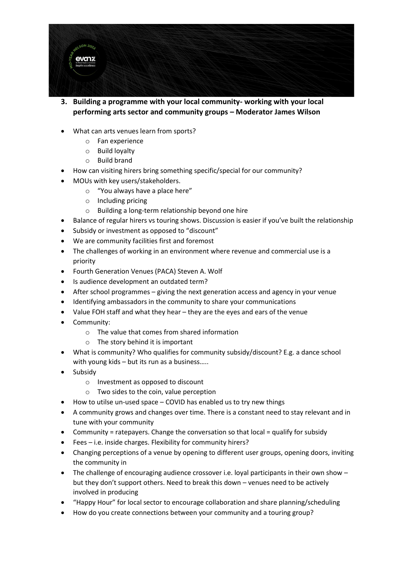

- **3. Building a programme with your local community- working with your local performing arts sector and community groups – Moderator James Wilson**
- What can arts venues learn from sports?
	- o Fan experience
	- o Build loyalty
	- o Build brand
- How can visiting hirers bring something specific/special for our community?
- MOUs with key users/stakeholders.
	- o "You always have a place here"
	- o Including pricing
	- o Building a long-term relationship beyond one hire
- Balance of regular hirers vs touring shows. Discussion is easier if you've built the relationship
- Subsidy or investment as opposed to "discount"
- We are community facilities first and foremost
- The challenges of working in an environment where revenue and commercial use is a priority
- Fourth Generation Venues (PACA) Steven A. Wolf
- Is audience development an outdated term?
- After school programmes giving the next generation access and agency in your venue
- Identifying ambassadors in the community to share your communications
- Value FOH staff and what they hear they are the eyes and ears of the venue
- Community:
	- $\circ$  The value that comes from shared information
	- $\circ$  The story behind it is important
- What is community? Who qualifies for community subsidy/discount? E.g. a dance school with young kids – but its run as a business.....
- Subsidy
	- o Investment as opposed to discount
	- o Two sides to the coin, value perception
- How to utilse un-used space COVID has enabled us to try new things
- A community grows and changes over time. There is a constant need to stay relevant and in tune with your community
- Community = ratepayers. Change the conversation so that local = qualify for subsidy
- Fees i.e. inside charges. Flexibility for community hirers?
- Changing perceptions of a venue by opening to different user groups, opening doors, inviting the community in
- The challenge of encouraging audience crossover i.e. loyal participants in their own show but they don't support others. Need to break this down – venues need to be actively involved in producing
- "Happy Hour" for local sector to encourage collaboration and share planning/scheduling
- How do you create connections between your community and a touring group?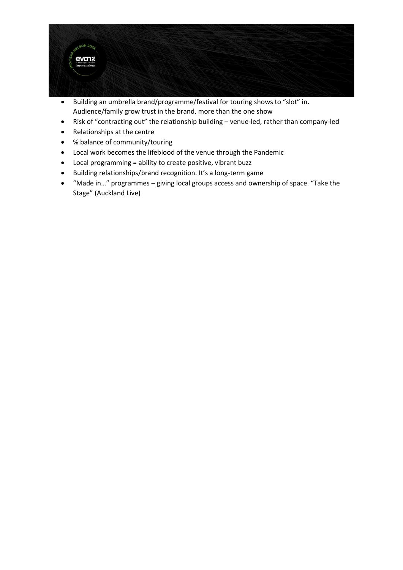

- Building an umbrella brand/programme/festival for touring shows to "slot" in. Audience/family grow trust in the brand, more than the one show
- Risk of "contracting out" the relationship building venue-led, rather than company-led
- Relationships at the centre
- % balance of community/touring
- Local work becomes the lifeblood of the venue through the Pandemic
- Local programming = ability to create positive, vibrant buzz
- Building relationships/brand recognition. It's a long-term game
- "Made in…" programmes giving local groups access and ownership of space. "Take the Stage" (Auckland Live)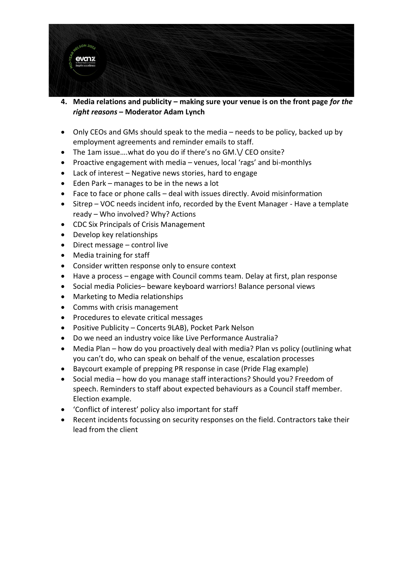

- **4. Media relations and publicity – making sure your venue is on the front page** *for the right reasons* **– Moderator Adam Lynch**
- Only CEOs and GMs should speak to the media needs to be policy, backed up by employment agreements and reminder emails to staff.
- The 1am issue….what do you do if there's no GM.\/ CEO onsite?
- Proactive engagement with media venues, local 'rags' and bi-monthlys
- Lack of interest Negative news stories, hard to engage
- Eden Park manages to be in the news a lot
- Face to face or phone calls deal with issues directly. Avoid misinformation
- Sitrep VOC needs incident info, recorded by the Event Manager Have a template ready – Who involved? Why? Actions
- CDC Six Principals of Crisis Management
- Develop key relationships
- Direct message control live
- Media training for staff
- Consider written response only to ensure context
- Have a process engage with Council comms team. Delay at first, plan response
- Social media Policies– beware keyboard warriors! Balance personal views
- Marketing to Media relationships
- Comms with crisis management
- Procedures to elevate critical messages
- Positive Publicity Concerts 9LAB), Pocket Park Nelson
- Do we need an industry voice like Live Performance Australia?
- Media Plan how do you proactively deal with media? Plan vs policy (outlining what you can't do, who can speak on behalf of the venue, escalation processes
- Baycourt example of prepping PR response in case (Pride Flag example)
- Social media how do you manage staff interactions? Should you? Freedom of speech. Reminders to staff about expected behaviours as a Council staff member. Election example.
- 'Conflict of interest' policy also important for staff
- Recent incidents focussing on security responses on the field. Contractors take their lead from the client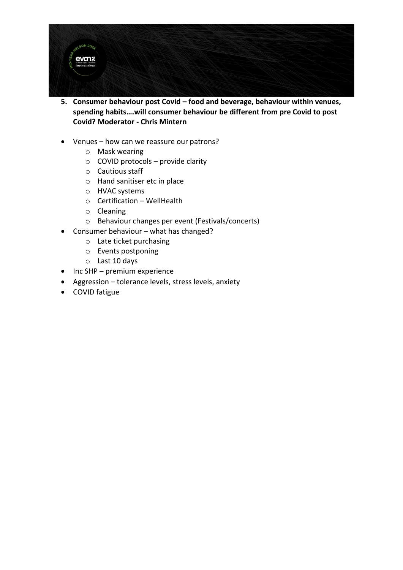

- **5. Consumer behaviour post Covid – food and beverage, behaviour within venues, spending habits….will consumer behaviour be different from pre Covid to post Covid? Moderator - Chris Mintern**
- Venues how can we reassure our patrons?
	- o Mask wearing
	- $\circ$  COVID protocols provide clarity
	- o Cautious staff
	- o Hand sanitiser etc in place
	- o HVAC systems
	- o Certification WellHealth
	- o Cleaning
	- o Behaviour changes per event (Festivals/concerts)
- Consumer behaviour what has changed?
	- o Late ticket purchasing
	- o Events postponing
	- o Last 10 days
- Inc SHP premium experience
- Aggression tolerance levels, stress levels, anxiety
- COVID fatigue